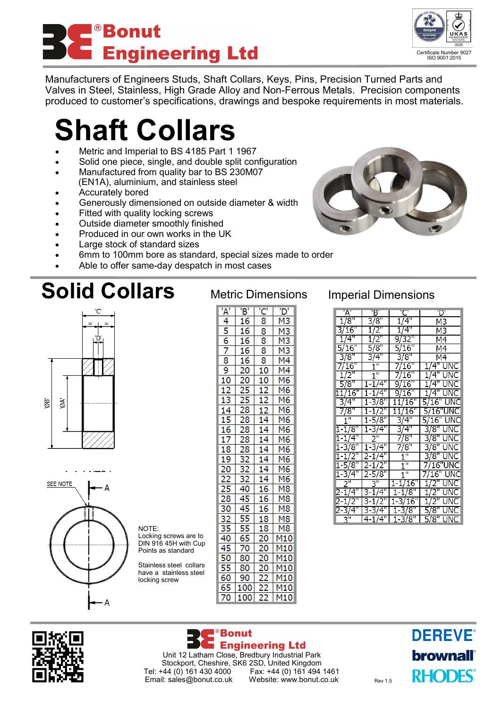## <sup>®</sup>Bonut **Engineering Ltd**

Certificate Number 9027 ISO 9001:2015

Manufacturers of Engineers Studs, Shaft Collars, Keys, Pins, Precision Turned Parts and Valves in Steel, Stainless, High Grade Alloy and Non-Ferrous Metals. Precision components produced to customer's specifications, drawings and bespoke requirements in most materials.

# **Shaft Collars**

- Metric and Imperial to BS 4185 Part 1 1967
- Solid one piece, single, and double split configuration
- Manufactured from quality bar to BS 230M07 (EN1A), aluminium, and stainless steel
- Accurately bored
- Generously dimensioned on outside diameter & width
- Fitted with quality locking screws
- Outside diameter smoothly finished
- Produced in our own works in the UK

NOTE:

Locking screws are to DIN 916 45H with Cup Points as standard Stainless steel collars have a stainless steel locking screw

- Large stock of standard sizes
- 6mm to 100mm bore as standard, special sizes made to order
- Able to offer same-day despatch in most cases

## **Solid Collars** Metric Dimensions Imperial Dimensions





| $\frac{A'}{4}$  | 'B'              | $\frac{1}{8}$  | 'D'                                                                                                                                                                                                                             |  |
|-----------------|------------------|----------------|---------------------------------------------------------------------------------------------------------------------------------------------------------------------------------------------------------------------------------|--|
|                 |                  |                |                                                                                                                                                                                                                                 |  |
|                 | $\frac{16}{16}$  | 8              |                                                                                                                                                                                                                                 |  |
|                 |                  | $rac{8}{8}$    |                                                                                                                                                                                                                                 |  |
|                 |                  |                |                                                                                                                                                                                                                                 |  |
|                 |                  | $\frac{8}{10}$ |                                                                                                                                                                                                                                 |  |
|                 |                  |                |                                                                                                                                                                                                                                 |  |
|                 |                  |                |                                                                                                                                                                                                                                 |  |
|                 |                  |                |                                                                                                                                                                                                                                 |  |
|                 |                  |                |                                                                                                                                                                                                                                 |  |
|                 |                  |                |                                                                                                                                                                                                                                 |  |
|                 |                  |                |                                                                                                                                                                                                                                 |  |
|                 |                  |                |                                                                                                                                                                                                                                 |  |
|                 |                  |                |                                                                                                                                                                                                                                 |  |
|                 |                  |                |                                                                                                                                                                                                                                 |  |
|                 |                  |                |                                                                                                                                                                                                                                 |  |
|                 |                  |                |                                                                                                                                                                                                                                 |  |
|                 |                  |                |                                                                                                                                                                                                                                 |  |
|                 |                  |                |                                                                                                                                                                                                                                 |  |
|                 |                  |                |                                                                                                                                                                                                                                 |  |
|                 |                  |                |                                                                                                                                                                                                                                 |  |
|                 |                  |                |                                                                                                                                                                                                                                 |  |
|                 |                  |                |                                                                                                                                                                                                                                 |  |
|                 |                  |                |                                                                                                                                                                                                                                 |  |
|                 |                  |                | an an angles an angles an angles an angles an angles an angles an angles an angles an angles an angles and an<br>Angles an angles an angles an angles an angles an angles an angles an angles an angles and an angles and an an |  |
|                 |                  |                |                                                                                                                                                                                                                                 |  |
|                 | 80               |                |                                                                                                                                                                                                                                 |  |
|                 | $\overline{90}$  |                |                                                                                                                                                                                                                                 |  |
|                 | $\overline{100}$ |                | M10<br>M10<br>M10<br>M10                                                                                                                                                                                                        |  |
| $\overline{70}$ | 100              |                | M10                                                                                                                                                                                                                             |  |

| 'A'                 | Ъ,                 | 'C'                  | 'D'                       |
|---------------------|--------------------|----------------------|---------------------------|
| 1/8"                | 3/8"               | 1/4"                 | M3                        |
| 3/16"               | 1/2"               | 1/4"                 | M3                        |
| 1/4"                | 1/2"               | 9/32"                | Μ4                        |
| 5/16"               | $\sqrt{8''}$       | 5/16"                | Μ4                        |
| 3/8"                | 3/4"               | 3/8"                 | M4                        |
| 7/16"               | $1^{\overline{n}}$ | 7/16"                | 1/4" UNC                  |
| $1/2$ "             | $1^{\circ}$        | 7/16"                | 1/4"<br>UNC               |
| 5/8"                | $1 - 1/4"$         | 9/16"                | UNC<br>1/4"               |
| 11/16               | 1-1/4"             | 9/16"                | $1/\overline{4}$ "<br>UNC |
| $3/4$ "             | $1 - \frac{3}{8}$  | $11/\overline{16}$ " | 5/16"<br>UNC              |
| 7/8"                | 1-172"             | $11/\overline{16}$ " | 5/16"UNC                  |
| 1"                  | 1-5/8"             | 3/4"                 | 5/16"<br>UNC              |
| $1 - 1/8"$          | 1-3/4"             | 3/4"                 | UNC<br>3/8"               |
| 1-1/4"              | 2<br>щ             | 7/8"                 | 3/8"<br>UNC               |
| 1-3/8"              | $1 - 3/4"$         | 7/8"                 | 3/8"<br>UNC               |
| $1 - 1/2"$          | 2-1/4"             | Π                    | UNC<br>3/8"               |
| 1-5/8"              | 2-1                | π                    | 7/16"UNC                  |
| 1-3/4"              | 2-5/8"             | $1^{\overline{0}}$   | UNC<br>7/16               |
| 2"                  | <u>3"</u>          | $1 - 1/16"$          | JNC                       |
| $2 - 1/4"$          | 3-1/4"             | $1 - 1/8"$           | 1/2"<br>UNC               |
| 2-1/2"              | 3-1/2"             | $1 - 3/16$ "         | $1/\overline{2}$ "<br>UNC |
| -3/4"               | 3-3/4"             | $1 - 3/8"$           | 5/8"<br>UNC               |
| $3^{\overline{11}}$ | $4 - 1/4"$         | $1 - 3/8"$           | 5/8"<br>UNC               |



<sup>®</sup>Bonut **Engineering Ltd** Unit 12 Latham Close, Bredbury Industrial Park Stockport, Cheshire, SK6 2SD, United Kingdom<br>Tel: +44 (0) 161 430 4000 Fax: +44 (0) 161 494 Fax: +44 (0) 161 494 1461<br>Website: www.bonut.co.uk Email: sales@bonut.co.uk Website: www.bonut.co.uk Rev 1.5 **DEREVE®** brownall **RHODES**